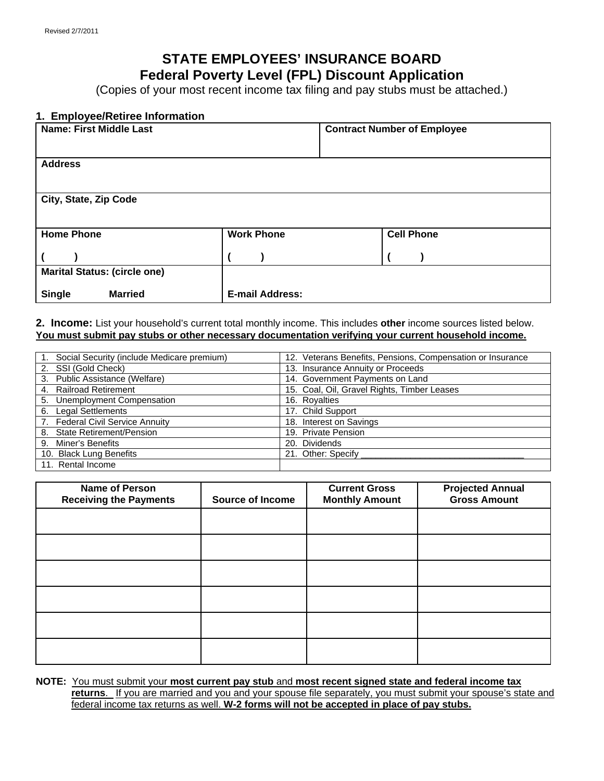## **STATE EMPLOYEES' INSURANCE BOARD Federal Poverty Level (FPL) Discount Application**

(Copies of your most recent income tax filing and pay stubs must be attached.)

### **1. Employee/Retiree Information**

| <b>Name: First Middle Last</b>      |                        | <b>Contract Number of Employee</b> |
|-------------------------------------|------------------------|------------------------------------|
| <b>Address</b>                      |                        |                                    |
| City, State, Zip Code               |                        |                                    |
| <b>Home Phone</b>                   | <b>Work Phone</b>      | <b>Cell Phone</b>                  |
|                                     |                        |                                    |
| <b>Marital Status: (circle one)</b> |                        |                                    |
| <b>Single</b><br><b>Married</b>     | <b>E-mail Address:</b> |                                    |

**2. Income:** List your household's current total monthly income. This includes **other** income sources listed below. **You must submit pay stubs or other necessary documentation verifying your current household income.** 

| Social Security (include Medicare premium) | 12. Veterans Benefits, Pensions, Compensation or Insurance |
|--------------------------------------------|------------------------------------------------------------|
| 2. SSI (Gold Check)                        | 13. Insurance Annuity or Proceeds                          |
| 3. Public Assistance (Welfare)             | 14. Government Payments on Land                            |
| 4. Railroad Retirement                     | 15. Coal, Oil, Gravel Rights, Timber Leases                |
| 5. Unemployment Compensation               | 16. Royalties                                              |
| <b>Legal Settlements</b><br>6.             | 17. Child Support                                          |
| 7. Federal Civil Service Annuity           | 18. Interest on Savings                                    |
| 8. State Retirement/Pension                | 19. Private Pension                                        |
| 9. Miner's Benefits                        | 20. Dividends                                              |
| 10. Black Lung Benefits                    | 21. Other: Specify                                         |
| 11. Rental Income                          |                                                            |

| <b>Name of Person</b><br><b>Receiving the Payments</b> | <b>Source of Income</b> | <b>Current Gross</b><br><b>Monthly Amount</b> | <b>Projected Annual</b><br><b>Gross Amount</b> |
|--------------------------------------------------------|-------------------------|-----------------------------------------------|------------------------------------------------|
|                                                        |                         |                                               |                                                |
|                                                        |                         |                                               |                                                |
|                                                        |                         |                                               |                                                |
|                                                        |                         |                                               |                                                |
|                                                        |                         |                                               |                                                |
|                                                        |                         |                                               |                                                |

**NOTE:** You must submit your **most current pay stub** and **most recent signed state and federal income tax returns**. If you are married and you and your spouse file separately, you must submit your spouse's state and federal income tax returns as well. **W-2 forms will not be accepted in place of pay stubs.**